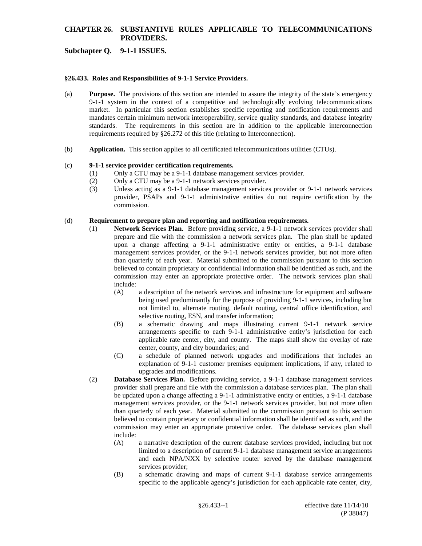### **Subchapter Q. 9-1-1 ISSUES.**

#### **§26.433. Roles and Responsibilities of 9-1-1 Service Providers.**

- (a) **Purpose.** The provisions of this section are intended to assure the integrity of the state's emergency 9-1-1 system in the context of a competitive and technologically evolving telecommunications market. In particular this section establishes specific reporting and notification requirements and mandates certain minimum network interoperability, service quality standards, and database integrity standards. The requirements in this section are in addition to the applicable interconnection requirements required by §26.272 of this title (relating to Interconnection).
- (b) **Application.** This section applies to all certificated telecommunications utilities (CTUs).

#### (c) **9-1-1 service provider certification requirements.**

- (1) Only a CTU may be a 9-1-1 database management services provider.
- (2) Only a CTU may be a 9-1-1 network services provider.
- (3) Unless acting as a 9-1-1 database management services provider or 9-1-1 network services provider, PSAPs and 9-1-1 administrative entities do not require certification by the commission.

#### (d) **Requirement to prepare plan and reporting and notification requirements.**

- (1) **Network Services Plan.** Before providing service, a 9-1-1 network services provider shall prepare and file with the commission a network services plan. The plan shall be updated upon a change affecting a 9-1-1 administrative entity or entities, a 9-1-1 database management services provider, or the 9-1-1 network services provider, but not more often than quarterly of each year. Material submitted to the commission pursuant to this section believed to contain proprietary or confidential information shall be identified as such, and the commission may enter an appropriate protective order. The network services plan shall include:<br>(A)
	- a description of the network services and infrastructure for equipment and software being used predominantly for the purpose of providing 9-1-1 services, including but not limited to, alternate routing, default routing, central office identification, and selective routing, ESN, and transfer information;
	- (B) a schematic drawing and maps illustrating current 9-1-1 network service arrangements specific to each 9-1-1 administrative entity's jurisdiction for each applicable rate center, city, and county. The maps shall show the overlay of rate center, county, and city boundaries; and
	- (C) a schedule of planned network upgrades and modifications that includes an explanation of 9-1-1 customer premises equipment implications, if any, related to upgrades and modifications.
- (2) **Database Services Plan.** Before providing service, a 9-1-1 database management services provider shall prepare and file with the commission a database services plan. The plan shall be updated upon a change affecting a 9-1-1 administrative entity or entities, a 9-1-1 database management services provider, or the 9-1-1 network services provider, but not more often than quarterly of each year. Material submitted to the commission pursuant to this section believed to contain proprietary or confidential information shall be identified as such, and the commission may enter an appropriate protective order. The database services plan shall include:
	- (A) a narrative description of the current database services provided, including but not limited to a description of current 9-1-1 database management service arrangements and each NPA/NXX by selective router served by the database management services provider;
	- (B) a schematic drawing and maps of current 9-1-1 database service arrangements specific to the applicable agency's jurisdiction for each applicable rate center, city,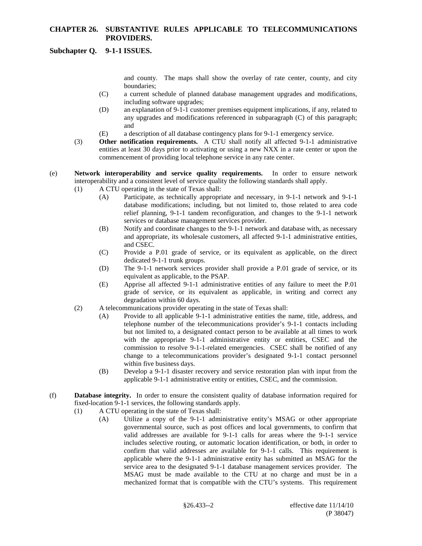### **Subchapter Q. 9-1-1 ISSUES.**

and county. The maps shall show the overlay of rate center, county, and city boundaries;

- (C) a current schedule of planned database management upgrades and modifications, including software upgrades;
- (D) an explanation of 9-1-1 customer premises equipment implications, if any, related to any upgrades and modifications referenced in subparagraph (C) of this paragraph; and
- (E) a description of all database contingency plans for 9-1-1 emergency service.
- (3) **Other notification requirements.** A CTU shall notify all affected 9-1-1 administrative entities at least 30 days prior to activating or using a new NXX in a rate center or upon the commencement of providing local telephone service in any rate center.
- (e) **Network interoperability and service quality requirements.** In order to ensure network interoperability and a consistent level of service quality the following standards shall apply.
	- (1) A CTU operating in the state of Texas shall:
		- (A) Participate, as technically appropriate and necessary, in 9-1-1 network and 9-1-1 database modifications; including, but not limited to, those related to area code relief planning, 9-1-1 tandem reconfiguration, and changes to the 9-1-1 network services or database management services provider.
		- (B) Notify and coordinate changes to the 9-1-1 network and database with, as necessary and appropriate, its wholesale customers, all affected 9-1-1 administrative entities, and CSEC.
		- (C) Provide a P.01 grade of service, or its equivalent as applicable, on the direct dedicated 9-1-1 trunk groups.
		- (D) The 9-1-1 network services provider shall provide a P.01 grade of service, or its equivalent as applicable, to the PSAP.
		- (E) Apprise all affected 9-1-1 administrative entities of any failure to meet the P.01 grade of service, or its equivalent as applicable, in writing and correct any degradation within 60 days.
	- (2) A telecommunications provider operating in the state of Texas shall:
		- (A) Provide to all applicable 9-1-1 administrative entities the name, title, address, and telephone number of the telecommunications provider's 9-1-1 contacts including but not limited to, a designated contact person to be available at all times to work with the appropriate 9-1-1 administrative entity or entities, CSEC and the commission to resolve 9-1-1-related emergencies. CSEC shall be notified of any change to a telecommunications provider's designated 9-1-1 contact personnel within five business days.
		- (B) Develop a 9-1-1 disaster recovery and service restoration plan with input from the applicable 9-1-1 administrative entity or entities, CSEC, and the commission.
- (f) **Database integrity.** In order to ensure the consistent quality of database information required for fixed-location 9-1-1 services, the following standards apply.
	- (1) A CTU operating in the state of Texas shall:
		- (A) Utilize a copy of the 9-1-1 administrative entity's MSAG or other appropriate governmental source, such as post offices and local governments, to confirm that valid addresses are available for 9-1-1 calls for areas where the 9-1-1 service includes selective routing, or automatic location identification, or both, in order to confirm that valid addresses are available for 9-1-1 calls. This requirement is applicable where the 9-1-1 administrative entity has submitted an MSAG for the service area to the designated 9-1-1 database management services provider. The MSAG must be made available to the CTU at no charge and must be in a mechanized format that is compatible with the CTU's systems. This requirement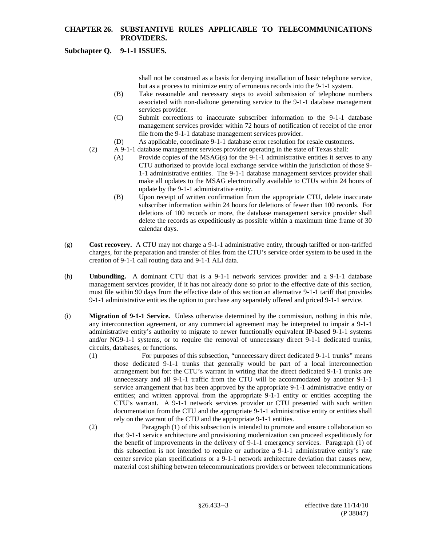# **Subchapter Q. 9-1-1 ISSUES.**

shall not be construed as a basis for denying installation of basic telephone service, but as a process to minimize entry of erroneous records into the 9-1-1 system.

- (B) Take reasonable and necessary steps to avoid submission of telephone numbers associated with non-dialtone generating service to the 9-1-1 database management services provider.
- (C) Submit corrections to inaccurate subscriber information to the 9-1-1 database management services provider within 72 hours of notification of receipt of the error file from the 9-1-1 database management services provider.
- (D) As applicable, coordinate 9-1-1 database error resolution for resale customers.
- (2) A 9-1-1 database management services provider operating in the state of Texas shall:
	- (A) Provide copies of the  $MSAG(s)$  for the 9-1-1 administrative entities it serves to any CTU authorized to provide local exchange service within the jurisdiction of those 9- 1-1 administrative entities. The 9-1-1 database management services provider shall make all updates to the MSAG electronically available to CTUs within 24 hours of update by the 9-1-1 administrative entity.
	- (B) Upon receipt of written confirmation from the appropriate CTU, delete inaccurate subscriber information within 24 hours for deletions of fewer than 100 records. For deletions of 100 records or more, the database management service provider shall delete the records as expeditiously as possible within a maximum time frame of 30 calendar days.
- (g) **Cost recovery.** A CTU may not charge a 9-1-1 administrative entity, through tariffed or non-tariffed charges, for the preparation and transfer of files from the CTU's service order system to be used in the creation of 9-1-1 call routing data and 9-1-1 ALI data.
- (h) **Unbundling.** A dominant CTU that is a 9-1-1 network services provider and a 9-1-1 database management services provider, if it has not already done so prior to the effective date of this section, must file within 90 days from the effective date of this section an alternative 9-1-1 tariff that provides 9-1-1 administrative entities the option to purchase any separately offered and priced 9-1-1 service.
- (i) **Migration of 9-1-1 Service.** Unless otherwise determined by the commission, nothing in this rule, any interconnection agreement, or any commercial agreement may be interpreted to impair a 9-1-1 administrative entity's authority to migrate to newer functionally equivalent IP-based 9-1-1 systems and/or NG9-1-1 systems, or to require the removal of unnecessary direct 9-1-1 dedicated trunks, circuits, databases, or functions.
	- (1) For purposes of this subsection, "unnecessary direct dedicated 9-1-1 trunks" means those dedicated 9-1-1 trunks that generally would be part of a local interconnection arrangement but for: the CTU's warrant in writing that the direct dedicated 9-1-1 trunks are unnecessary and all 9-1-1 traffic from the CTU will be accommodated by another 9-1-1 service arrangement that has been approved by the appropriate 9-1-1 administrative entity or entities; and written approval from the appropriate 9-1-1 entity or entities accepting the CTU's warrant. A 9-1-1 network services provider or CTU presented with such written documentation from the CTU and the appropriate 9-1-1 administrative entity or entities shall rely on the warrant of the CTU and the appropriate 9-1-1 entities.
	- (2) Paragraph (1) of this subsection is intended to promote and ensure collaboration so that 9-1-1 service architecture and provisioning modernization can proceed expeditiously for the benefit of improvements in the delivery of 9-1-1 emergency services. Paragraph (1) of this subsection is not intended to require or authorize a 9-1-1 administrative entity's rate center service plan specifications or a 9-1-1 network architecture deviation that causes new, material cost shifting between telecommunications providers or between telecommunications